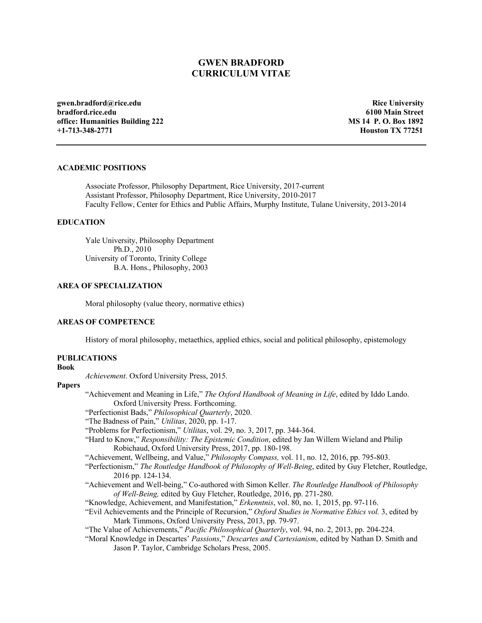# **GWEN BRADFORD CURRICULUM VITAE**

 **gwen.bradford@rice.edu office: Humanities Building 222 +1-713-348-2771 MS 14 P. O. Box 1892**   $+1 - 713 - 348 - 2771$ **bradford.rice.edu** 

**Rice University 6100 Main Street Houston TX 77251** 

## **ACADEMIC POSITIONS**

 Associate Professor, Philosophy Department, Rice University, 2017-current Assistant Professor, Philosophy Department, Rice University, 2010-2017 Faculty Fellow, Center for Ethics and Public Affairs, Murphy Institute, Tulane University, 2013-2014

### **EDUCATION**

 Yale University, Philosophy Department University of Toronto, Trinity College B.A. Hons., Philosophy, 2003 Ph.D., 2010

# **AREA OF SPECIALIZATION**

Moral philosophy (value theory, normative ethics)

#### **AREAS OF COMPETENCE**

History of moral philosophy, metaethics, applied ethics, social and political philosophy, epistemology

# **PUBLICATIONS**

# **Book**

*Achievement*. Oxford University Press, 2015.

# **Papers**

 "Achievement and Meaning in Life," *The Oxford Handbook of Meaning in Life*, edited by Iddo Lando. Oxford University Press. Forthcoming.

"Perfectionist Bads," *Philosophical Quarterly*, 2020. "The Badness of Pain," *Utilitas*, 2020, pp. 1-17.

- "The Badness of Pain," Utilitas, 2020, pp. 1-17.
- "Problems for Perfectionism," *Utilitas*, vol. 29, no. 3, 2017, pp. 344-364.
- "Hard to Know," *Responsibility: The Epistemic Condition*, edited by Jan Willem Wieland and Philip Robichaud, Oxford University Press, 2017, pp. 180-198.
- "Achievement, Wellbeing, and Value," *Philosophy Compass,* vol. 11, no. 12, 2016, pp. 795-803.
- "Perfectionism," *The Routledge Handbook of Philosophy of Well-Being*, edited by Guy Fletcher, Routledge, 2016 pp. 124-134.
- "Achievement and Well-being," Co-authored with Simon Keller. *The Routledge Handbook of Philosophy of Well-Being,* edited by Guy Fletcher, Routledge, 2016, pp. 271-280.
- "Knowledge, Achievement, and Manifestation," *Erkenntnis*, vol. 80, no. 1, 2015, pp. 97-116.
- "Evil Achievements and the Principle of Recursion," *Oxford Studies in Normative Ethics vol.* 3, edited by Mark Timmons, Oxford University Press, 2013, pp. 79-97.

"The Value of Achievements," *Pacific Philosophical Quarterly*, vol. 94, no. 2, 2013, pp. 204-224.

 "Moral Knowledge in Descartes' *Passions*," *Descartes and Cartesianism*, edited by Nathan D. Smith and Jason P. Taylor, Cambridge Scholars Press, 2005.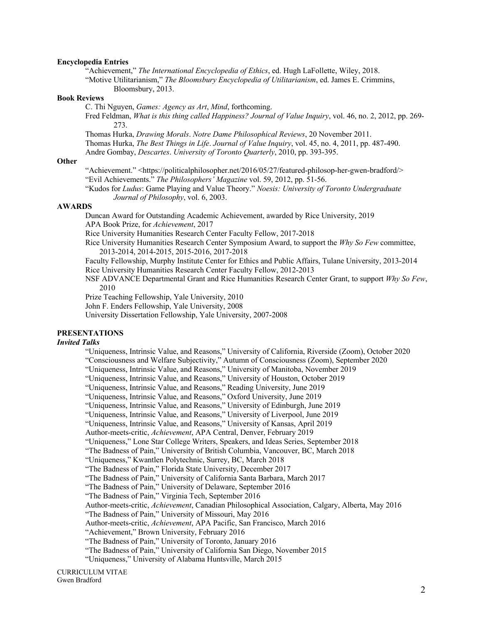#### **Encyclopedia Entries**

"Achievement," *The International Encyclopedia of Ethics*, ed. Hugh LaFollette, Wiley, 2018.

 "Motive Utilitarianism," *The Bloomsbury Encyclopedia of Utilitarianism*, ed. James E. Crimmins, Bloomsbury, 2013.

#### **Book Reviews**

C. Thi Nguyen, *Games: Agency as Art*, *Mind*, forthcoming.

 Fred Feldman, *What is this thing called Happiness? Journal of Value Inquiry*, vol. 46, no. 2, 2012, pp. 269- 273.

 Thomas Hurka, *Drawing Morals*. *Notre Dame Philosophical Reviews*, 20 November 2011. Thomas Hurka, *The Best Things in Life*. *Journal of Value Inquiry*, vol. 45, no. 4, 2011, pp. 487-490.

Andre Gombay, *Descartes*. *University of Toronto Quarterly*, 2010, pp. 393-395.

#### **Other**

 "Evil Achievements." *The Philosophers' Magazine* vol. 59, 2012, pp. 51-56. "Achievement." [<https://politicalphilosopher.net/2016/05/27/featured-philosop-her-gwen-bradford](https://politicalphilosopher.net/2016/05/27/featured-philosop-her-gwen-bradford)/>

 "Kudos for *Ludus*: Game Playing and Value Theory." *Noesis: University of Toronto Undergraduate Journal of Philosophy*, vol. 6, 2003.

## **AWARDS**

 Duncan Award for Outstanding Academic Achievement, awarded by Rice University, 2019 APA Book Prize, for *Achievement*, 2017

Rice University Humanities Research Center Faculty Fellow, 2017-2018

 Rice University Humanities Research Center Symposium Award, to support the *Why So Few* committee, 2013-2014, 2014-2015, 2015-2016, 2017-2018

 Faculty Fellowship, Murphy Institute Center for Ethics and Public Affairs, Tulane University, 2013-2014 Rice University Humanities Research Center Faculty Fellow, 2012-2013

 NSF ADVANCE Departmental Grant and Rice Humanities Research Center Grant, to support *Why So Few*, 2010

Prize Teaching Fellowship, Yale University, 2010

John F. Enders Fellowship, Yale University, 2008

University Dissertation Fellowship, Yale University, 2007-2008

### **PRESENTATIONS**

# *Invited Talks*

"Uniqueness, Intrinsic Value, and Reasons," University of California, Riverside (Zoom), October 2020

"Consciousness and Welfare Subjectivity," Autumn of Consciousness (Zoom), September 2020

"Uniqueness, Intrinsic Value, and Reasons," University of Manitoba, November 2019

"Uniqueness, Intrinsic Value, and Reasons," University of Houston, October 2019

"Uniqueness, Intrinsic Value, and Reasons," Reading University, June 2019

"Uniqueness, Intrinsic Value, and Reasons," Oxford University, June 2019

"Uniqueness, Intrinsic Value, and Reasons," University of Edinburgh, June 2019

"Uniqueness, Intrinsic Value, and Reasons," University of Liverpool, June 2019

"Uniqueness, Intrinsic Value, and Reasons," University of Kansas, April 2019

Author-meets-critic, *Achievement*, APA Central, Denver, February 2019

"Uniqueness," Lone Star College Writers, Speakers, and Ideas Series, September 2018

"The Badness of Pain," University of British Columbia, Vancouver, BC, March 2018

"Uniqueness," Kwantlen Polytechnic, Surrey, BC, March 2018

"The Badness of Pain," Florida State University, December 2017

"The Badness of Pain," University of California Santa Barbara, March 2017

"The Badness of Pain," University of Delaware, September 2016

"The Badness of Pain," Virginia Tech, September 2016

Author-meets-critic, *Achievement*, Canadian Philosophical Association, Calgary, Alberta, May 2016

"The Badness of Pain," University of Missouri, May 2016

Author-meets-critic, *Achievement*, APA Pacific, San Francisco, March 2016

"Achievement," Brown University, February 2016

"The Badness of Pain," University of Toronto, January 2016

"The Badness of Pain," University of California San Diego, November 2015

"Uniqueness," University of Alabama Huntsville, March 2015

CURRICULUM VITAE Gwen Bradford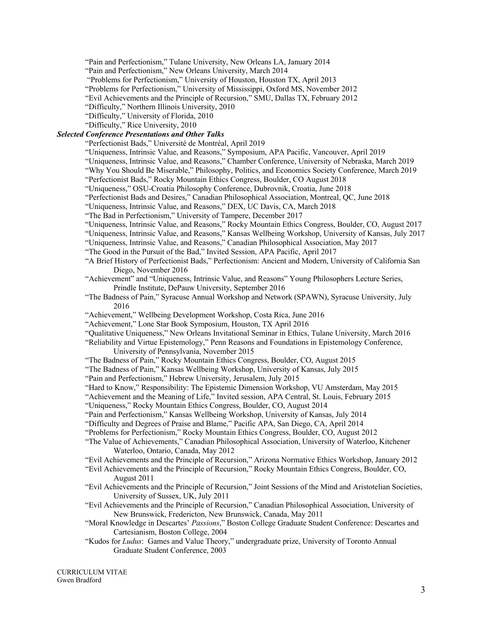"Pain and Perfectionism," Tulane University, New Orleans LA, January 2014

"Pain and Perfectionism," New Orleans University, March 2014

"Problems for Perfectionism," University of Houston, Houston TX, April 2013

"Problems for Perfectionism," University of Mississippi, Oxford MS, November 2012

"Evil Achievements and the Principle of Recursion," SMU, Dallas TX, February 2012

"Difficulty," Northern Illinois University, 2010

"Difficulty," University of Florida, 2010

"Difficulty," Rice University, 2010

# *Selected Conference Presentations and Other Talks*

"Perfectionist Bads," Université de Montréal, April 2019

- "Uniqueness, Intrinsic Value, and Reasons," Symposium, APA Pacific, Vancouver, April 2019
- "Uniqueness, Intrinsic Value, and Reasons," Chamber Conference, University of Nebraska, March 2019
- "Why You Should Be Miserable," Philosophy, Politics, and Economics Society Conference, March 2019
- "Perfectionist Bads," Rocky Mountain Ethics Congress, Boulder, CO August 2018
- "Uniqueness," OSU-Croatia Philosophy Conference, Dubrovnik, Croatia, June 2018
- "Perfectionist Bads and Desires," Canadian Philosophical Association, Montreal, QC, June 2018
- "Uniqueness, Intrinsic Value, and Reasons," DEX, UC Davis, CA, March 2018
- "The Bad in Perfectionism," University of Tampere, December 2017
- "Uniqueness, Intrinsic Value, and Reasons," Rocky Mountain Ethics Congress, Boulder, CO, August 2017
- "Uniqueness, Intrinsic Value, and Reasons," Kansas Wellbeing Workshop, University of Kansas, July 2017
- "Uniqueness, Intrinsic Value, and Reasons," Canadian Philosophical Association, May 2017
- "The Good in the Pursuit of the Bad," Invited Session, APA Pacific, April 2017
- "A Brief History of Perfectionist Bads," Perfectionism: Ancient and Modern, University of California San Diego, November 2016
- Prindle Institute, DePauw University, September 2016 "Achievement" and "Uniqueness, Intrinsic Value, and Reasons" Young Philosophers Lecture Series,
- "The Badness of Pain," Syracuse Annual Workshop and Network (SPAWN), Syracuse University, July 2016
- "Achievement," Wellbeing Development Workshop, Costa Rica, June 2016
- "Achievement," Lone Star Book Symposium, Houston, TX April 2016
- "Qualitative Uniqueness," New Orleans Invitational Seminar in Ethics, Tulane University, March 2016
- University of Pennsylvania, November 2015 "Reliability and Virtue Epistemology," Penn Reasons and Foundations in Epistemology Conference,
- "The Badness of Pain," Rocky Mountain Ethics Congress, Boulder, CO, August 2015
- "The Badness of Pain," Kansas Wellbeing Workshop, University of Kansas, July 2015
- "Pain and Perfectionism," Hebrew University, Jerusalem, July 2015
- "Hard to Know," Responsibility: The Epistemic Dimension Workshop, VU Amsterdam, May 2015
- "Achievement and the Meaning of Life," Invited session, APA Central, St. Louis, February 2015
- "Uniqueness," Rocky Mountain Ethics Congress, Boulder, CO, August 2014
- "Pain and Perfectionism," Kansas Wellbeing Workshop, University of Kansas, July 2014
- "Difficulty and Degrees of Praise and Blame," Pacific APA, San Diego, CA, April 2014
- "Problems for Perfectionism," Rocky Mountain Ethics Congress, Boulder, CO, August 2012
- "The Value of Achievements," Canadian Philosophical Association, University of Waterloo, Kitchener Waterloo, Ontario, Canada, May 2012

"Evil Achievements and the Principle of Recursion," Arizona Normative Ethics Workshop, January 2012

- "Evil Achievements and the Principle of Recursion," Rocky Mountain Ethics Congress, Boulder, CO, August 2011
- "Evil Achievements and the Principle of Recursion," Joint Sessions of the Mind and Aristotelian Societies, University of Sussex, UK, July 2011
- "Evil Achievements and the Principle of Recursion," Canadian Philosophical Association, University of New Brunswick, Fredericton, New Brunswick, Canada, May 2011
- "Moral Knowledge in Descartes' *Passions*," Boston College Graduate Student Conference: Descartes and Cartesianism, Boston College, 2004
- "Kudos for *Ludus*: Games and Value Theory," undergraduate prize, University of Toronto Annual Graduate Student Conference, 2003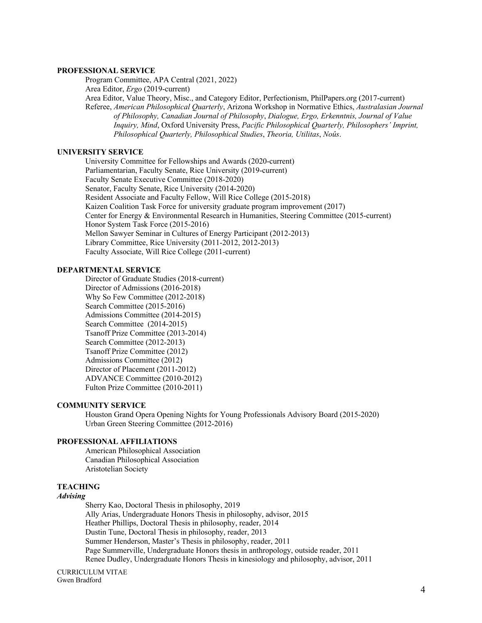## **PROFESSIONAL SERVICE**

Program Committee, APA Central (2021, 2022)

Area Editor, *Ergo* (2019-current)

 Area Editor, Value Theory, Misc., and Category Editor, Perfectionism, [PhilPapers.org](https://PhilPapers.org) (2017-current)  Referee, *American Philosophical Quarterly*, Arizona Workshop in Normative Ethics, *Australasian Journal of Philosophy, Canadian Journal of Philosophy*, *Dialogue, Ergo, Erkenntnis, Journal of Value Inquiry, Mind*, Oxford University Press, *Pacific Philosophical Quarterly, Philosophers' Imprint, Philosophical Quarterly, Philosophical Studies*, *Theoria, Utilitas*, *Noûs*.

# **UNIVERSITY SERVICE**

 University Committee for Fellowships and Awards (2020-current) Parliamentarian, Faculty Senate, Rice University (2019-current) Faculty Senate Executive Committee (2018-2020) Senator, Faculty Senate, Rice University (2014-2020) Resident Associate and Faculty Fellow, Will Rice College (2015-2018) Kaizen Coalition Task Force for university graduate program improvement (2017) Center for Energy & Environmental Research in Humanities, Steering Committee (2015-current) Honor System Task Force (2015-2016) Mellon Sawyer Seminar in Cultures of Energy Participant (2012-2013) Library Committee, Rice University (2011-2012, 2012-2013) Faculty Associate, Will Rice College (2011-current)

#### **DEPARTMENTAL SERVICE**

 Director of Graduate Studies (2018-current) Director of Admissions (2016-2018) Why So Few Committee (2012-2018) Admissions Committee (2014-2015) Search Committee (2014-2015) Tsanoff Prize Committee (2013-2014) Tsanoff Prize Committee (2012) Admissions Committee (2012) Director of Placement (2011-2012) ADVANCE Committee (2010-2012) Search Committee (2015-2016) Search Committee (2012-2013) Fulton Prize Committee (2010-2011)

#### **COMMUNITY SERVICE**

 Houston Grand Opera Opening Nights for Young Professionals Advisory Board (2015-2020) Urban Green Steering Committee (2012-2016)

#### **PROFESSIONAL AFFILIATIONS**

American Philosophical Association Canadian Philosophical Association Aristotelian Society

# **TEACHING**

## *Advising*

 Sherry Kao, Doctoral Thesis in philosophy, 2019 Ally Arias, Undergraduate Honors Thesis in philosophy, advisor, 2015 Heather Phillips, Doctoral Thesis in philosophy, reader, 2014 Dustin Tune, Doctoral Thesis in philosophy, reader, 2013 Summer Henderson, Master's Thesis in philosophy, reader, 2011 Page Summerville, Undergraduate Honors thesis in anthropology, outside reader, 2011 Renee Dudley, Undergraduate Honors Thesis in kinesiology and philosophy, advisor, 2011

CURRICULUM VITAE Gwen Bradford